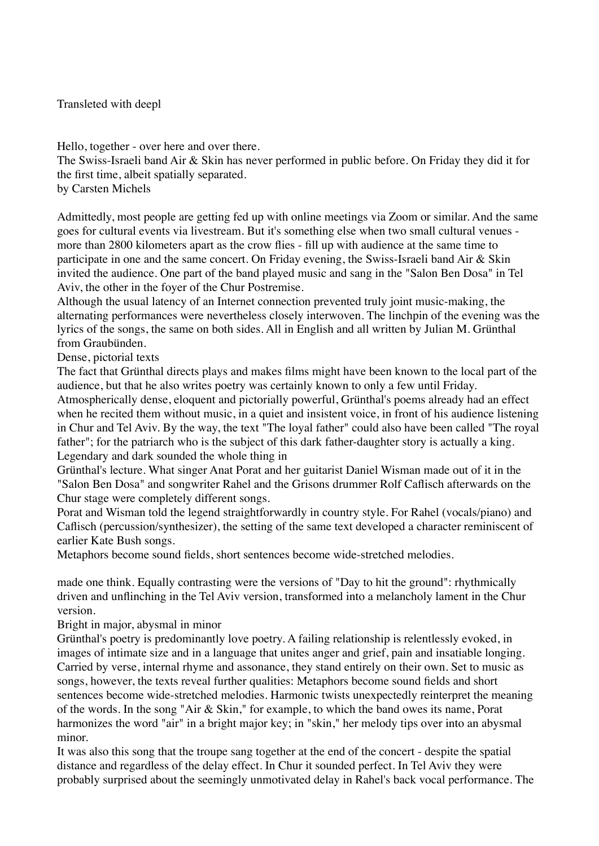Transleted with deepl

Hello, together - over here and over there. The Swiss-Israeli band Air & Skin has never performed in public before. On Friday they did it for the first time, albeit spatially separated. by Carsten Michels

Admittedly, most people are getting fed up with online meetings via Zoom or similar. And the same goes for cultural events via livestream. But it's something else when two small cultural venues more than 2800 kilometers apart as the crow flies - fill up with audience at the same time to participate in one and the same concert. On Friday evening, the Swiss-Israeli band Air & Skin invited the audience. One part of the band played music and sang in the "Salon Ben Dosa" in Tel Aviv, the other in the foyer of the Chur Postremise.

Although the usual latency of an Internet connection prevented truly joint music-making, the alternating performances were nevertheless closely interwoven. The linchpin of the evening was the lyrics of the songs, the same on both sides. All in English and all written by Julian M. Grünthal from Graubünden.

Dense, pictorial texts

The fact that Grünthal directs plays and makes films might have been known to the local part of the audience, but that he also writes poetry was certainly known to only a few until Friday. Atmospherically dense, eloquent and pictorially powerful, Grünthal's poems already had an effect when he recited them without music, in a quiet and insistent voice, in front of his audience listening in Chur and Tel Aviv. By the way, the text "The loyal father" could also have been called "The royal father"; for the patriarch who is the subject of this dark father-daughter story is actually a king. Legendary and dark sounded the whole thing in

Grünthal's lecture. What singer Anat Porat and her guitarist Daniel Wisman made out of it in the "Salon Ben Dosa" and songwriter Rahel and the Grisons drummer Rolf Caflisch afterwards on the Chur stage were completely different songs.

Porat and Wisman told the legend straightforwardly in country style. For Rahel (vocals/piano) and Caflisch (percussion/synthesizer), the setting of the same text developed a character reminiscent of earlier Kate Bush songs.

Metaphors become sound fields, short sentences become wide-stretched melodies.

made one think. Equally contrasting were the versions of "Day to hit the ground": rhythmically driven and unflinching in the Tel Aviv version, transformed into a melancholy lament in the Chur version.

Bright in major, abysmal in minor

Grünthal's poetry is predominantly love poetry. A failing relationship is relentlessly evoked, in images of intimate size and in a language that unites anger and grief, pain and insatiable longing. Carried by verse, internal rhyme and assonance, they stand entirely on their own. Set to music as songs, however, the texts reveal further qualities: Metaphors become sound fields and short sentences become wide-stretched melodies. Harmonic twists unexpectedly reinterpret the meaning of the words. In the song "Air & Skin," for example, to which the band owes its name, Porat harmonizes the word "air" in a bright major key; in "skin," her melody tips over into an abysmal minor.

It was also this song that the troupe sang together at the end of the concert - despite the spatial distance and regardless of the delay effect. In Chur it sounded perfect. In Tel Aviv they were probably surprised about the seemingly unmotivated delay in Rahel's back vocal performance. The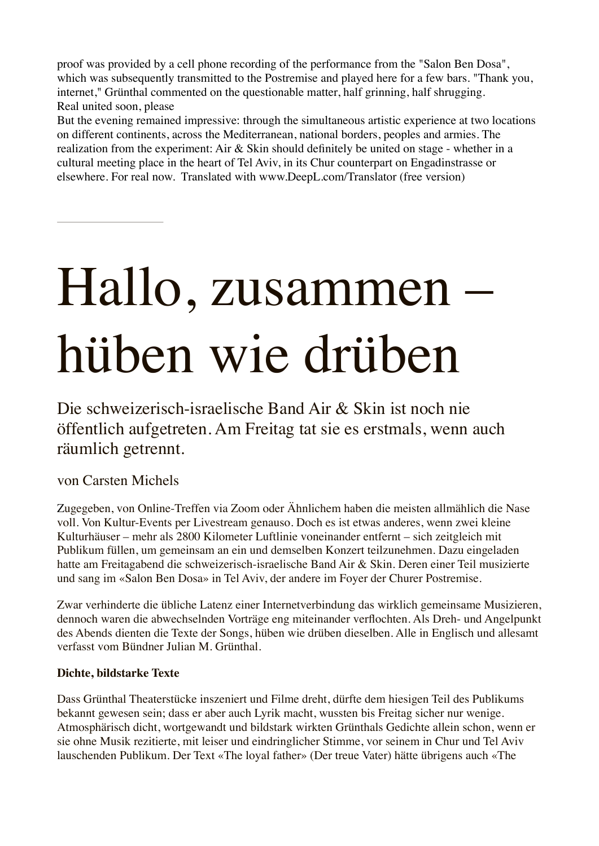proof was provided by a cell phone recording of the performance from the "Salon Ben Dosa", which was subsequently transmitted to the Postremise and played here for a few bars. "Thank you, internet," Grünthal commented on the questionable matter, half grinning, half shrugging. Real united soon, please

But the evening remained impressive: through the simultaneous artistic experience at two locations on different continents, across the Mediterranean, national borders, peoples and armies. The realization from the experiment: Air & Skin should definitely be united on stage - whether in a cultural meeting place in the heart of Tel Aviv, in its Chur counterpart on Engadinstrasse or elsewhere. For real now. Translated with www.DeepL.com/Translator (free version)

# Hallo, zusammen – hüben wie drüben

Die schweizerisch-israelische Band Air & Skin ist noch nie öffentlich aufgetreten. Am Freitag tat sie es erstmals, wenn auch räumlich getrennt.

## von Carsten Michels

Zugegeben, von Online-Treffen via Zoom oder Ähnlichem haben die meisten allmählich die Nase voll. Von Kultur-Events per Livestream genauso. Doch es ist etwas anderes, wenn zwei kleine Kulturhäuser – mehr als 2800 Kilometer Luftlinie voneinander entfernt – sich zeitgleich mit Publikum füllen, um gemeinsam an ein und demselben Konzert teilzunehmen. Dazu eingeladen hatte am Freitagabend die schweizerisch-israelische Band Air & Skin. Deren einer Teil musizierte und sang im «Salon Ben Dosa» in Tel Aviv, der andere im Foyer der Churer Postremise.

Zwar verhinderte die übliche Latenz einer Internetverbindung das wirklich gemeinsame Musizieren, dennoch waren die abwechselnden Vorträge eng miteinander verflochten. Als Dreh- und Angelpunkt des Abends dienten die Texte der Songs, hüben wie drüben dieselben. Alle in Englisch und allesamt verfasst vom Bündner Julian M. Grünthal.

## **Dichte, bildstarke Texte**

Dass Grünthal Theaterstücke inszeniert und Filme dreht, dürfte dem hiesigen Teil des Publikums bekannt gewesen sein; dass er aber auch Lyrik macht, wussten bis Freitag sicher nur wenige. Atmosphärisch dicht, wortgewandt und bildstark wirkten Grünthals Gedichte allein schon, wenn er sie ohne Musik rezitierte, mit leiser und eindringlicher Stimme, vor seinem in Chur und Tel Aviv lauschenden Publikum. Der Text «The loyal father» (Der treue Vater) hätte übrigens auch «The